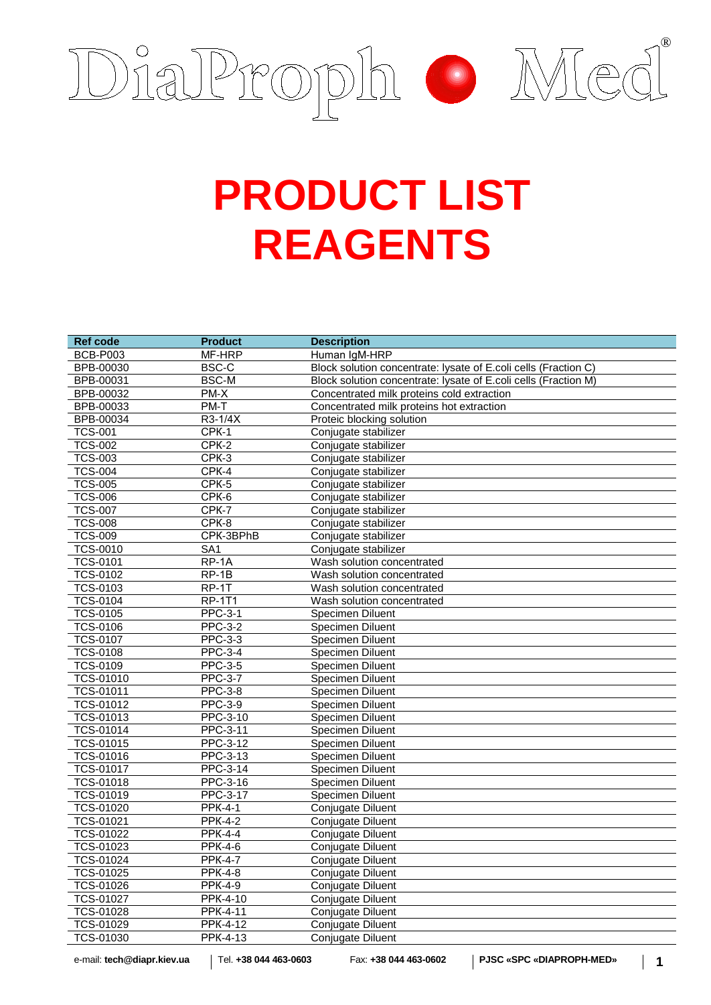

## **PRODUCT LIST REAGENTS**

| <b>BCB-P003</b><br>MF-HRP<br>Human IgM-HRP<br>BPB-00030<br>BSC-C<br>Block solution concentrate: lysate of E.coli cells (Fraction C)<br><b>BSC-M</b><br>BPB-00031<br>Block solution concentrate: lysate of E.coli cells (Fraction M)<br>BPB-00032<br>PM-X<br>Concentrated milk proteins cold extraction<br>PM-T<br>BPB-00033<br>Concentrated milk proteins hot extraction<br>BPB-00034<br>R3-1/4X<br>Proteic blocking solution<br>$CFK-1$<br><b>TCS-001</b><br>Conjugate stabilizer<br><b>TCS-002</b><br>$CFK-2$<br>Conjugate stabilizer<br><b>TCS-003</b><br>$CFK-3$<br>Conjugate stabilizer<br><b>TCS-004</b><br>$CFK-4$<br>Conjugate stabilizer<br>$CFK-5$<br><b>TCS-005</b><br>Conjugate stabilizer<br>$CFK-6$<br><b>TCS-006</b><br>Conjugate stabilizer<br><b>TCS-007</b><br>$CFK-7$<br>Conjugate stabilizer<br>CPK-8<br><b>TCS-008</b><br>Conjugate stabilizer<br><b>TCS-009</b><br>CPK-3BPhB<br>Conjugate stabilizer<br><b>TCS-0010</b><br>SA1<br>Conjugate stabilizer<br><b>TCS-0101</b><br>$RP-1A$<br>Wash solution concentrated<br>$RP-1B$<br><b>TCS-0102</b><br>Wash solution concentrated<br><b>TCS-0103</b><br>RP-1T<br>Wash solution concentrated<br><b>TCS-0104</b><br><b>RP-1T1</b><br>Wash solution concentrated<br><b>PPC-3-1</b><br><b>TCS-0105</b><br>Specimen Diluent<br><b>TCS-0106</b><br><b>PPC-3-2</b><br><b>Specimen Diluent</b><br><b>TCS-0107</b><br>PPC-3-3<br><b>Specimen Diluent</b><br><b>TCS-0108</b><br><b>PPC-3-4</b><br>Specimen Diluent<br><b>TCS-0109</b><br><b>PPC-3-5</b><br>Specimen Diluent<br><b>TCS-01010</b><br><b>PPC-3-7</b> |
|----------------------------------------------------------------------------------------------------------------------------------------------------------------------------------------------------------------------------------------------------------------------------------------------------------------------------------------------------------------------------------------------------------------------------------------------------------------------------------------------------------------------------------------------------------------------------------------------------------------------------------------------------------------------------------------------------------------------------------------------------------------------------------------------------------------------------------------------------------------------------------------------------------------------------------------------------------------------------------------------------------------------------------------------------------------------------------------------------------------------------------------------------------------------------------------------------------------------------------------------------------------------------------------------------------------------------------------------------------------------------------------------------------------------------------------------------------------------------------------------------------------------------------------------------------------------------|
|                                                                                                                                                                                                                                                                                                                                                                                                                                                                                                                                                                                                                                                                                                                                                                                                                                                                                                                                                                                                                                                                                                                                                                                                                                                                                                                                                                                                                                                                                                                                                                            |
|                                                                                                                                                                                                                                                                                                                                                                                                                                                                                                                                                                                                                                                                                                                                                                                                                                                                                                                                                                                                                                                                                                                                                                                                                                                                                                                                                                                                                                                                                                                                                                            |
|                                                                                                                                                                                                                                                                                                                                                                                                                                                                                                                                                                                                                                                                                                                                                                                                                                                                                                                                                                                                                                                                                                                                                                                                                                                                                                                                                                                                                                                                                                                                                                            |
|                                                                                                                                                                                                                                                                                                                                                                                                                                                                                                                                                                                                                                                                                                                                                                                                                                                                                                                                                                                                                                                                                                                                                                                                                                                                                                                                                                                                                                                                                                                                                                            |
|                                                                                                                                                                                                                                                                                                                                                                                                                                                                                                                                                                                                                                                                                                                                                                                                                                                                                                                                                                                                                                                                                                                                                                                                                                                                                                                                                                                                                                                                                                                                                                            |
|                                                                                                                                                                                                                                                                                                                                                                                                                                                                                                                                                                                                                                                                                                                                                                                                                                                                                                                                                                                                                                                                                                                                                                                                                                                                                                                                                                                                                                                                                                                                                                            |
|                                                                                                                                                                                                                                                                                                                                                                                                                                                                                                                                                                                                                                                                                                                                                                                                                                                                                                                                                                                                                                                                                                                                                                                                                                                                                                                                                                                                                                                                                                                                                                            |
|                                                                                                                                                                                                                                                                                                                                                                                                                                                                                                                                                                                                                                                                                                                                                                                                                                                                                                                                                                                                                                                                                                                                                                                                                                                                                                                                                                                                                                                                                                                                                                            |
|                                                                                                                                                                                                                                                                                                                                                                                                                                                                                                                                                                                                                                                                                                                                                                                                                                                                                                                                                                                                                                                                                                                                                                                                                                                                                                                                                                                                                                                                                                                                                                            |
|                                                                                                                                                                                                                                                                                                                                                                                                                                                                                                                                                                                                                                                                                                                                                                                                                                                                                                                                                                                                                                                                                                                                                                                                                                                                                                                                                                                                                                                                                                                                                                            |
|                                                                                                                                                                                                                                                                                                                                                                                                                                                                                                                                                                                                                                                                                                                                                                                                                                                                                                                                                                                                                                                                                                                                                                                                                                                                                                                                                                                                                                                                                                                                                                            |
|                                                                                                                                                                                                                                                                                                                                                                                                                                                                                                                                                                                                                                                                                                                                                                                                                                                                                                                                                                                                                                                                                                                                                                                                                                                                                                                                                                                                                                                                                                                                                                            |
|                                                                                                                                                                                                                                                                                                                                                                                                                                                                                                                                                                                                                                                                                                                                                                                                                                                                                                                                                                                                                                                                                                                                                                                                                                                                                                                                                                                                                                                                                                                                                                            |
|                                                                                                                                                                                                                                                                                                                                                                                                                                                                                                                                                                                                                                                                                                                                                                                                                                                                                                                                                                                                                                                                                                                                                                                                                                                                                                                                                                                                                                                                                                                                                                            |
|                                                                                                                                                                                                                                                                                                                                                                                                                                                                                                                                                                                                                                                                                                                                                                                                                                                                                                                                                                                                                                                                                                                                                                                                                                                                                                                                                                                                                                                                                                                                                                            |
|                                                                                                                                                                                                                                                                                                                                                                                                                                                                                                                                                                                                                                                                                                                                                                                                                                                                                                                                                                                                                                                                                                                                                                                                                                                                                                                                                                                                                                                                                                                                                                            |
|                                                                                                                                                                                                                                                                                                                                                                                                                                                                                                                                                                                                                                                                                                                                                                                                                                                                                                                                                                                                                                                                                                                                                                                                                                                                                                                                                                                                                                                                                                                                                                            |
|                                                                                                                                                                                                                                                                                                                                                                                                                                                                                                                                                                                                                                                                                                                                                                                                                                                                                                                                                                                                                                                                                                                                                                                                                                                                                                                                                                                                                                                                                                                                                                            |
|                                                                                                                                                                                                                                                                                                                                                                                                                                                                                                                                                                                                                                                                                                                                                                                                                                                                                                                                                                                                                                                                                                                                                                                                                                                                                                                                                                                                                                                                                                                                                                            |
|                                                                                                                                                                                                                                                                                                                                                                                                                                                                                                                                                                                                                                                                                                                                                                                                                                                                                                                                                                                                                                                                                                                                                                                                                                                                                                                                                                                                                                                                                                                                                                            |
|                                                                                                                                                                                                                                                                                                                                                                                                                                                                                                                                                                                                                                                                                                                                                                                                                                                                                                                                                                                                                                                                                                                                                                                                                                                                                                                                                                                                                                                                                                                                                                            |
|                                                                                                                                                                                                                                                                                                                                                                                                                                                                                                                                                                                                                                                                                                                                                                                                                                                                                                                                                                                                                                                                                                                                                                                                                                                                                                                                                                                                                                                                                                                                                                            |
|                                                                                                                                                                                                                                                                                                                                                                                                                                                                                                                                                                                                                                                                                                                                                                                                                                                                                                                                                                                                                                                                                                                                                                                                                                                                                                                                                                                                                                                                                                                                                                            |
|                                                                                                                                                                                                                                                                                                                                                                                                                                                                                                                                                                                                                                                                                                                                                                                                                                                                                                                                                                                                                                                                                                                                                                                                                                                                                                                                                                                                                                                                                                                                                                            |
|                                                                                                                                                                                                                                                                                                                                                                                                                                                                                                                                                                                                                                                                                                                                                                                                                                                                                                                                                                                                                                                                                                                                                                                                                                                                                                                                                                                                                                                                                                                                                                            |
| Specimen Diluent                                                                                                                                                                                                                                                                                                                                                                                                                                                                                                                                                                                                                                                                                                                                                                                                                                                                                                                                                                                                                                                                                                                                                                                                                                                                                                                                                                                                                                                                                                                                                           |
| <b>PPC-3-8</b><br>TCS-01011<br>Specimen Diluent                                                                                                                                                                                                                                                                                                                                                                                                                                                                                                                                                                                                                                                                                                                                                                                                                                                                                                                                                                                                                                                                                                                                                                                                                                                                                                                                                                                                                                                                                                                            |
| <b>PPC-3-9</b><br>TCS-01012<br><b>Specimen Diluent</b>                                                                                                                                                                                                                                                                                                                                                                                                                                                                                                                                                                                                                                                                                                                                                                                                                                                                                                                                                                                                                                                                                                                                                                                                                                                                                                                                                                                                                                                                                                                     |
| <b>TCS-01013</b><br><b>PPC-3-10</b><br>Specimen Diluent                                                                                                                                                                                                                                                                                                                                                                                                                                                                                                                                                                                                                                                                                                                                                                                                                                                                                                                                                                                                                                                                                                                                                                                                                                                                                                                                                                                                                                                                                                                    |
| <b>TCS-01014</b><br><b>PPC-3-11</b><br>Specimen Diluent                                                                                                                                                                                                                                                                                                                                                                                                                                                                                                                                                                                                                                                                                                                                                                                                                                                                                                                                                                                                                                                                                                                                                                                                                                                                                                                                                                                                                                                                                                                    |
| <b>TCS-01015</b><br><b>PPC-3-12</b><br>Specimen Diluent                                                                                                                                                                                                                                                                                                                                                                                                                                                                                                                                                                                                                                                                                                                                                                                                                                                                                                                                                                                                                                                                                                                                                                                                                                                                                                                                                                                                                                                                                                                    |
| TCS-01016<br>PPC-3-13<br>Specimen Diluent                                                                                                                                                                                                                                                                                                                                                                                                                                                                                                                                                                                                                                                                                                                                                                                                                                                                                                                                                                                                                                                                                                                                                                                                                                                                                                                                                                                                                                                                                                                                  |
| <b>TCS-01017</b><br><b>PPC-3-14</b><br><b>Specimen Diluent</b>                                                                                                                                                                                                                                                                                                                                                                                                                                                                                                                                                                                                                                                                                                                                                                                                                                                                                                                                                                                                                                                                                                                                                                                                                                                                                                                                                                                                                                                                                                             |
| <b>TCS-01018</b><br><b>PPC-3-16</b><br><b>Specimen Diluent</b>                                                                                                                                                                                                                                                                                                                                                                                                                                                                                                                                                                                                                                                                                                                                                                                                                                                                                                                                                                                                                                                                                                                                                                                                                                                                                                                                                                                                                                                                                                             |
| TCS-01019<br>PPC-3-17<br>Specimen Diluent                                                                                                                                                                                                                                                                                                                                                                                                                                                                                                                                                                                                                                                                                                                                                                                                                                                                                                                                                                                                                                                                                                                                                                                                                                                                                                                                                                                                                                                                                                                                  |
| TCS-01020<br><b>PPK-4-1</b><br>Conjugate Diluent                                                                                                                                                                                                                                                                                                                                                                                                                                                                                                                                                                                                                                                                                                                                                                                                                                                                                                                                                                                                                                                                                                                                                                                                                                                                                                                                                                                                                                                                                                                           |
| <b>TCS-01021</b><br><b>PPK-4-2</b><br>Conjugate Diluent                                                                                                                                                                                                                                                                                                                                                                                                                                                                                                                                                                                                                                                                                                                                                                                                                                                                                                                                                                                                                                                                                                                                                                                                                                                                                                                                                                                                                                                                                                                    |
| <b>PPK-4-4</b><br>TCS-01022<br>Conjugate Diluent                                                                                                                                                                                                                                                                                                                                                                                                                                                                                                                                                                                                                                                                                                                                                                                                                                                                                                                                                                                                                                                                                                                                                                                                                                                                                                                                                                                                                                                                                                                           |
| TCS-01023<br>$\overline{PPK-4-6}$<br>Conjugate Diluent                                                                                                                                                                                                                                                                                                                                                                                                                                                                                                                                                                                                                                                                                                                                                                                                                                                                                                                                                                                                                                                                                                                                                                                                                                                                                                                                                                                                                                                                                                                     |
| <b>PPK-4-7</b><br>TCS-01024<br>Conjugate Diluent                                                                                                                                                                                                                                                                                                                                                                                                                                                                                                                                                                                                                                                                                                                                                                                                                                                                                                                                                                                                                                                                                                                                                                                                                                                                                                                                                                                                                                                                                                                           |
| <b>TCS-01025</b><br><b>PPK-4-8</b><br>Conjugate Diluent                                                                                                                                                                                                                                                                                                                                                                                                                                                                                                                                                                                                                                                                                                                                                                                                                                                                                                                                                                                                                                                                                                                                                                                                                                                                                                                                                                                                                                                                                                                    |
| TCS-01026<br><b>PPK-4-9</b><br>Conjugate Diluent                                                                                                                                                                                                                                                                                                                                                                                                                                                                                                                                                                                                                                                                                                                                                                                                                                                                                                                                                                                                                                                                                                                                                                                                                                                                                                                                                                                                                                                                                                                           |
| <b>TCS-01027</b><br><b>PPK-4-10</b><br>Conjugate Diluent                                                                                                                                                                                                                                                                                                                                                                                                                                                                                                                                                                                                                                                                                                                                                                                                                                                                                                                                                                                                                                                                                                                                                                                                                                                                                                                                                                                                                                                                                                                   |
| <b>TCS-01028</b><br><b>PPK-4-11</b><br>Conjugate Diluent                                                                                                                                                                                                                                                                                                                                                                                                                                                                                                                                                                                                                                                                                                                                                                                                                                                                                                                                                                                                                                                                                                                                                                                                                                                                                                                                                                                                                                                                                                                   |
| TCS-01029<br><b>PPK-4-12</b><br>Conjugate Diluent                                                                                                                                                                                                                                                                                                                                                                                                                                                                                                                                                                                                                                                                                                                                                                                                                                                                                                                                                                                                                                                                                                                                                                                                                                                                                                                                                                                                                                                                                                                          |
| <b>TCS-01030</b><br><b>PPK-4-13</b><br>Conjugate Diluent                                                                                                                                                                                                                                                                                                                                                                                                                                                                                                                                                                                                                                                                                                                                                                                                                                                                                                                                                                                                                                                                                                                                                                                                                                                                                                                                                                                                                                                                                                                   |